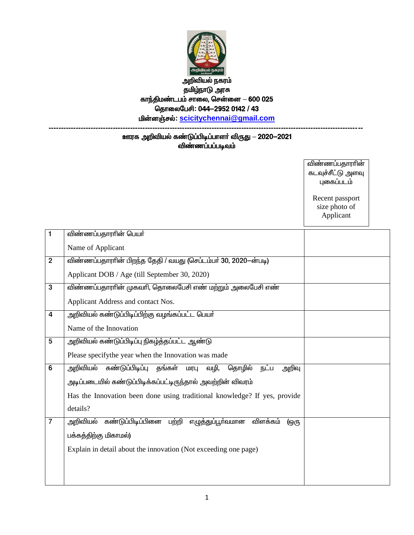

# அறிவியல் நகரம் தமிழ்நாடு அரசு காந்திமண்டபம் சாலை, சென்னை **– 600 025** .<br>தொலைபேசி: 044-2952 0142 / 43 ä‹dŠrš**: [scicitychennai@gmail.com](mailto:scicitychennai@gmail.com)**

#### **-------------------------------------------------------------------------------------------------------------------------------** ஊரக அறிவியல் கண்டுப்பிடிப்பாளர் விருது **– 2020—2021** விண்ணப்பப்படிவம்

விண்ணப்பதாராின் கடவுச்சீட்டு அளவு புகைப்படம்

Recent passport size photo of Applicant

| $\mathbf{1}$   | விண்ணப்பதாராின் பெயா்                                                         |
|----------------|-------------------------------------------------------------------------------|
|                | Name of Applicant                                                             |
| $\overline{2}$ | விண்ணப்பதாராின் பிறந்த தேதி / வயது (செப்டம்பா் 30, 2020-ன்படி)                |
|                | Applicant DOB / Age (till September 30, 2020)                                 |
| 3              | விண்ணப்பதாராின் முகவாி, தொலைபேசி எண் மற்றும் அலைபேசி எண்                      |
|                | Applicant Address and contact Nos.                                            |
| $\overline{4}$ | அறிவியல் கண்டுப்பிடிப்பிற்கு வழங்கப்பட்ட பெயர்                                |
|                | Name of the Innovation                                                        |
| 5              | அறிவியல் கண்டுப்பிடிப்பு நிகழ்த்தப்பட்ட ஆண்டு                                 |
|                | Please specify the year when the Innovation was made                          |
| 6              | அறிவியல்<br>கண்டுப்பிடிப்பு தங்கள்<br>அறிவு<br>வழி,<br>தொழில்<br>நட்ப<br>மரபு |
|                | அடிப்படையில் கண்டுப்பிடிக்கப்பட்டிருந்தால் அவற்றின் விவரம்                    |
|                | Has the Innovation been done using traditional knowledge? If yes, provide     |
|                | details?                                                                      |
| $\overline{7}$ | அறிவியல் கண்டுப்பிடிப்பினை பற்றி எழுத்துப்பூா்வமான<br>விளக்கம்<br>(ஒரு        |
|                | பக்கத்திற்கு மிகாமல்)                                                         |
|                | Explain in detail about the innovation (Not exceeding one page)               |
|                |                                                                               |
|                |                                                                               |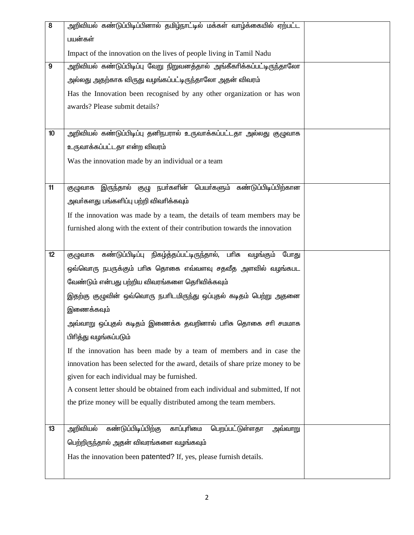| 8  | அறிவியல் கண்டுப்பிடிப்பினால் தமிழ்நாட்டில் மக்கள் வாழ்க்கையில் ஏற்பட்ட         |  |
|----|--------------------------------------------------------------------------------|--|
|    | பயன்கள்                                                                        |  |
|    | Impact of the innovation on the lives of people living in Tamil Nadu           |  |
| 9  | அறிவியல் கண்டுப்பிடிப்பு வேறு நிறுவனத்தால் அங்கீகாிக்கப்பட்டிருந்தாலோ          |  |
|    | அல்லது அதற்காக விருது வழங்கப்பட்டிருந்தாலோ அதன் விவரம்                         |  |
|    | Has the Innovation been recognised by any other organization or has won        |  |
|    | awards? Please submit details?                                                 |  |
|    |                                                                                |  |
| 10 | அறிவியல் கண்டுப்பிடிப்பு தனிநபரால் உருவாக்கப்பட்டதா அல்லது குழுவாக             |  |
|    | உருவாக்கப்பட்டதா என்ற விவரம்                                                   |  |
|    | Was the innovation made by an individual or a team                             |  |
|    |                                                                                |  |
| 11 | இருந்தால் குழு நபர்களின் பெயர்களும் கண்டுப்பிடிப்பிற்கான<br>குழுவாக            |  |
|    | அவா்களது பங்களிப்பு பற்றி விவாிக்கவும்                                         |  |
|    | If the innovation was made by a team, the details of team members may be       |  |
|    | furnished along with the extent of their contribution towards the innovation   |  |
|    |                                                                                |  |
| 12 | கண்டுப்பிடிப்பு நிகழ்த்தப்பட்டிருந்தால், பாிசு வழங்கும் போது<br>குழுவாக        |  |
|    | ஒவ்வொரு நபருக்கும் பாிசு தொகை எவ்வளவு சதவீத அளவில் வழங்கபட                     |  |
|    | வேண்டும் என்பது பற்றிய விவரங்களை தெரிவிக்கவும்                                 |  |
|    | இதற்கு குழுவின் ஒவ்வொரு நபாிடமிருந்து ஒப்புதல் கடிதம் பெற்று அதனை              |  |
|    | இணைக்கவும்                                                                     |  |
|    | அவ்வாறு ஒப்புதல் கடிதம் இணைக்க தவறினால் பாிசு தொகை சாி சமமாக                   |  |
|    | பிரித்து வழங்கப்படும்                                                          |  |
|    | If the innovation has been made by a team of members and in case the           |  |
|    | innovation has been selected for the award, details of share prize money to be |  |
|    | given for each individual may be furnished.                                    |  |
|    | A consent letter should be obtained from each individual and submitted, If not |  |
|    | the prize money will be equally distributed among the team members.            |  |
|    |                                                                                |  |
| 13 | அறிவியல்<br>கண்டுப்பிடிப்பிற்கு<br>காப்புரிமை<br>பெறப்பட்டுள்ளதா<br>அவ்வாறு    |  |
|    | பெற்றிருந்தால் அதன் விவரங்களை வழங்கவும்                                        |  |
|    | Has the innovation been patented? If, yes, please furnish details.             |  |
|    |                                                                                |  |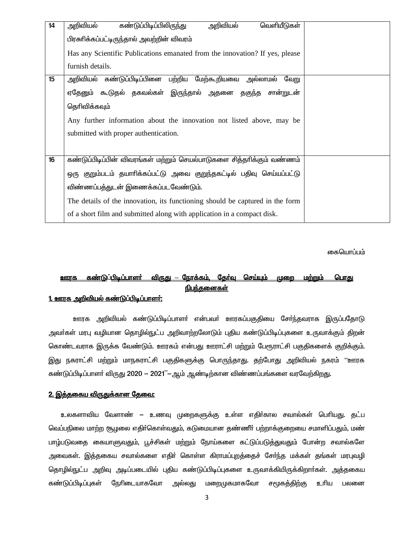| 14                                    | அறிவியல்                                                                      | கண்டுப்பிடிப்பிலிருந்து | அறிவியல்    | வெளியீடுகள்      |  |
|---------------------------------------|-------------------------------------------------------------------------------|-------------------------|-------------|------------------|--|
|                                       | பிரசுரிக்கப்பட்டிருந்தால் அவற்றின் விவரம்                                     |                         |             |                  |  |
|                                       | Has any Scientific Publications emanated from the innovation? If yes, please  |                         |             |                  |  |
|                                       | furnish details.                                                              |                         |             |                  |  |
| 15                                    | அறிவியல் கண்டுப்பிடிப்பினை பற்றிய                                             |                         | மேற்கூறியவை | அல்லாமல்<br>வேறு |  |
|                                       | ஏதேனும் கூடுதல் தகவல்கள் இருந்தால் அதனை தகுந்த                                |                         |             | சான்றுடன்        |  |
|                                       | தெரிவிக்கவும்                                                                 |                         |             |                  |  |
|                                       | Any further information about the innovation not listed above, may be         |                         |             |                  |  |
| submitted with proper authentication. |                                                                               |                         |             |                  |  |
|                                       |                                                                               |                         |             |                  |  |
| $\overline{16}$                       | கண்டுப்பிடிப்பின் விவரங்கள் மற்றும் செயல்பாடுகளை சித்தரிக்கும் வண்ணம்         |                         |             |                  |  |
|                                       | ஒரு குறும்படம் தயாாிக்கப்பட்டு அவை குறுந்தகட்டில் பதிவு செய்யப்பட்டு          |                         |             |                  |  |
|                                       | விண்ணப்பத்துடன் இணைக்கப்படவேண்டும்.                                           |                         |             |                  |  |
|                                       | The details of the innovation, its functioning should be captured in the form |                         |             |                  |  |
|                                       | of a short film and submitted along with application in a compact disk.       |                         |             |                  |  |
|                                       |                                                                               |                         |             |                  |  |
|                                       |                                                                               |                         |             |                  |  |

கையொப்பம்

#### <u>கண்டுப்பிடிப்பாளர் விருது – நோக்கம், தேர்வு செய்யும் </u> <u>പ്രഞന</u> <u> வ்றம் </u> பொகு ஊரக <u>நிபந்தனைகள்</u>

# <u>1. ஊரக அறிவியல் கண்டுப்பிடிப்பாளர்:</u>

ஊரக அறிவியல் கண்டுப்பிடிப்பாளா் என்பவா் ஊரகப்பகுதியை சோ்ந்தவராக இருப்பதோடு அவா்கள் மரபு வழியான தொழில்நுட்ப அறிவாற்றலோடும் புதிய கண்டுப்பிடிப்புகளை உருவாக்கும் திறன் கொண்டவராக இருக்க வேண்டும். ஊரகம் என்பது ஊராட்சி மற்றும் பேரூராட்சி பகுதிகளைக் குறிக்கும். இது நகராட்சி மற்றும் மாநகராட்சி பகுதிகளுக்கு பொருந்தாது. தற்போது அறிவியல் நகரம் ''ஊரக கண்டுப்பிடிப்பாளர் விருது 2020 — 2021''—ஆம் ஆண்டிற்கான விண்ணப்பங்களை வரவேற்கிறது.

## <u> 2. இத்தகைய விருதுக்கான தேவை:</u>

உலகளாவிய வேளாண் — உணவு முறைகளுக்கு உள்ள எதிர்கால சவால்கள் பெரியது. தட்ப வெப்பநிலை மாற்ற சூழலை எதிர்கொள்வதும், கடுமையான தண்ணீர் பற்றாக்குறையை சமாளிப்பதும், மண் பாழ்படுவதை கையாளுவதும், பூச்சிகள் மற்றும் நோய்களை கட்டுப்படுத்துவதும் போன்ற சவால்களே அவைகள். இத்தகைய சவால்களை எதிா் கொள்ள கிராமப்புறத்தைச் சோ்ந்த மக்கள் தங்கள் மரபுவழி தொழில்நுட்ப அறிவு அடிப்படையில் புதிய கண்டுப்பிடிப்புகளை உருவாக்கியிருக்கிறார்கள். அத்தகைய கண்டுப்பிடிப்புகள் நேரிடையாகவோ அல்லது மறைமுகமாகவோ சமூகத்திற்கு உரிய பலனை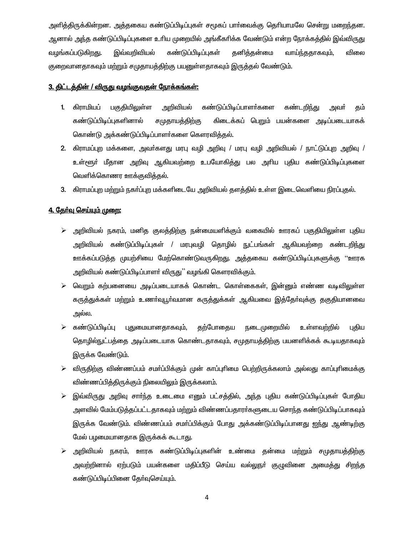அளித்திருக்கின்றன. அத்தகைய கண்டுப்பிடிப்புகள் சமூகப் பாா்வைக்கு தொியாமலே சென்று மறைந்தன. ஆனால் அந்த கண்டுப்பிடிப்புகளை உரிய முறையில் அங்கீகரிக்க வேண்டும் என்ற நோக்கத்தில் இவ்விருது தனித்தன்மை வழங்கப்படுகிற<u>த</u>ு. இவ்வறிவியல் கண்டுப்பிடிப்புகள் வாய்ந்ததாகவும், விலை குறைவானதாகவும் மற்றும் சமுதாயத்திற்கு பயனுள்ளதாகவும் இருத்தல் வேண்டும்.

#### 3. திட்டத்தின் / விருது வழங்குவதன் நோக்கங்கள்:

- 1. கிராமியப் பகுதியிலுள்ள அறிவியல் கண்டுப்பிடிப்பாளர்களை கண்டறிந்து அவர் தம் கண்டுப்பிடிப்புகளினால் சமுதாயத்திற்கு கிடைக்கப் பெறும் பயன்களை அடிப்படையாகக் கொண்டு அக்கண்டுப்பிடிப்பாளர்களை கௌரவித்தல்.
- 2. கிராமப்புற மக்களை, அவா்களது மரபு வழி அறிவு / மரபு வழி அறிவியல் / நாட்டுப்புற அறிவு / உள்ளூா் மீதான அறிவு ஆகியவற்றை உபயோகித்து பல அரிய புதிய கண்டுப்பிடிப்புகளை வெளிக்கொணர ஊக்குவித்தல்.
- 3. கிராமப்புற மற்றும் நகர்ப்புற மக்களிடையே அறிவியல் தளத்தில் உள்ள இடைவெளியை நிரப்புதல்.

### <u>4. தேர்வு செய்யும் முறை:</u>

- $\triangleright$  அறிவியல் நகரம், மனித குலத்திற்கு நன்மையளிக்கும் வகையில் ஊரகப் பகுதியிலுள்ள புதிய அறிவியல் கண்டுப்பிடிப்புகள் / மரபுவழி தொழில் <u>ந</u>ுட்பங்கள் ஆகியவற்றை கண்டறிந்து ஊக்கப்படுத்த முயற்சியை மேற்கொண்டுவருகிறது. அத்தகைய கண்டுப்பிடிப்புகளுக்கு ''ஊரக அறிவியல் கண்டுப்பிடிப்பாளா் விருது'' வழங்கி கௌரவிக்கும்.
- $\triangleright$  வெறும் கற்பனையை அடிப்படையாகக் கொண்ட கொள்கைகள், இன்னும் எண்ண வடிவிலுள்ள கருத்துக்கள் மற்றும் உணா்வுபூா்வமான கருத்துக்கள் ஆகியவை இத்தோ்வுக்கு தகுதியானவை அல்ல.
- தற்போதைய புதிய  $\triangleright$  கண்டுப்பிடிப்பு புதுமையானதாகவும், நடைமுறையில் உள்ளவற்றில் தொழில்நுட்பத்தை அடிப்படையாக கொண்டதாகவும், சமுதாயத்திற்கு பயனளிக்கக் கூடியதாகவும் இருக்க வேண்டும்.
- $\triangleright$  விருதிற்கு விண்ணப்பம் சமா்ப்பிக்கும் முன் காப்புரிமை பெற்றிருக்கலாம் அல்லது காப்புரிமைக்கு விண்ணப்பித்திருக்கும் நிலையிலும் இருக்கலாம்.
- $\triangleright$  இவ்விருது அறிவு சாா்ந்த உடைமை எனும் பட்சத்தில், அந்த புதிய கண்டுப்பிடிப்புகள் போதிய அளவில் மேம்படுத்தப்பட்டதாகவும் மற்றும் விண்ணப்பதாரா்களுடைய சொந்த கண்டுப்பிடிப்பாகவும் இருக்க வேண்டும். விண்ணப்பம் சமா்ப்பிக்கும் போது அக்கண்டுப்பிடிப்பானது ஐந்து ஆண்டிற்கு மேல் பழமையானதாக இருக்கக் கூடாது.
- அறிவியல் நகரம், ஊரக கண்டுப்பிடிப்புகளின் உண்மை கன்மை மற்றும் சமுகாயக்கிற்கு  $\blacktriangleright$ அவற்றினால் ஏற்படும் பயன்களை மதிப்பீடு செய்ய வல்லுநா் குழுவினை அமைத்து சிறந்த கண்டுப்பிடிப்பினை தேர்வுசெய்யும்.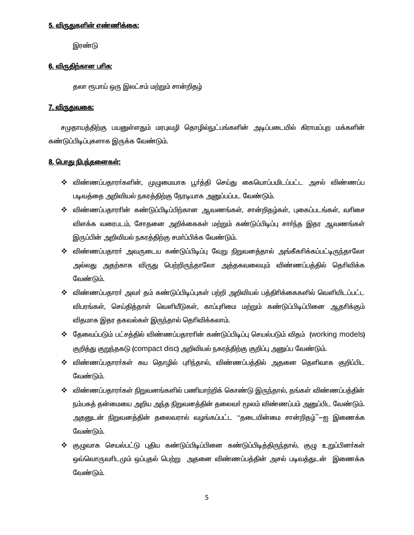## <u>5. விருதுகளின் எண்ணிக்</u>கை:

இரண்டு

## 6. விருதிற்கான பரிசு:

தலா ரூபாய் ஒரு இலட்சம் மற்றும் சான்றிதழ்

#### <u>7. விருதுவகை:</u>

சமுதாயத்திற்கு பயனுள்ளதும் மரபுவழி தொழில்நுட்பங்களின் அடிப்படையில் கிராமப்புற மக்களின் கண்டுப்பிடிப்புகளாக இருக்க வேண்டும்.

# 8. பொது நிபந்தனைகள்:

- **்** விண்ணப்பதாரா்களின், முழுமையாக பூா்த்தி செய்து கையொப்பமிடப்பட்ட அசல் விண்ணப்ப படிவத்தை அறிவியல் நகரத்திற்கு நேரடியாக அனுப்பப்பட வேண்டும்.
- ❖ விண்ணப்பதாராின் கண்டுப்பிடிப்பிற்கான ஆவணங்கள், சான்றிதழ்கள், புகைப்படங்கள், வாிசை விளக்க வரைபடம், சோதனை அறிக்கைகள் மற்றும் கண்டுப்பிடிப்பு சாா்ந்த இதர ஆவணங்கள் இருப்பின் அறிவியல் நகரத்திற்கு சமா்ப்பிக்க வேண்டும்.
- **்** விண்ணப்பதாரா் அவருடைய கண்டுப்பிடிப்பு வேறு நிறுவனத்தால் அங்கீகாிக்கப்பட்டிருந்தாலோ அல்லது அதற்காக விருது பெற்றிருந்தாலோ அத்தகவலையும் விண்ணப்பத்தில் தெரிவிக்க வேண்டும்.
- ❖ விண்ணப்பதாரா் அவா் தம் கண்டுப்பிடிப்புகள் பற்றி அறிவியல் பத்திாிக்கைகளில் வெளியிடப்பட்ட விபரங்கள், செய்தித்தாள் வெளியீடுகள், காப்புரிமை மற்றும் கண்டுப்பிடிப்பினை ஆதரிக்கும் விதமாக இதர தகவல்கள் இருந்தால் தெரிவிக்கலாம்.
- ❖ தேவைப்படும் பட்சத்தில் விண்ணப்பதாராின் கண்டுப்பிடிப்பு செயல்படும் விதம் (working models) குறித்து குறுந்தகடு (compact disc) அறிவியல் நகரத்திற்கு குறிப்பு அனுப்ப வேண்டும்.
- ❖ விண்ணப்பகாரா்கள் சுய கொமில் புாிா்கால். விண்ணப்பக்கில் அகனை கெளிவாக குறிப்பிட வேண்டும்.
- ❖ விண்ணப்பதாரா்கள் நிறுவனங்களில் பணியாற்றிக் கொண்டு இருந்தால், தங்கள் விண்ணப்பத்தின் நம்பகத் தன்மையை அறிய அந்த நிறுவனத்தின் தலைவர் மூலம் விண்ணப்பம் அனுப்பிட வேண்டும். அதனுடன் நிறுவனத்தின் தலைவரால் வழங்கப்பட்ட ''தடையின்மை சான்றிதழ்''—ஐ இணைக்க வேண்டும்.
- ❖ குழுவாக செயல்பட்டு புதிய கண்டுப்பிடிப்பிளை கண்டுப்பிடித்திருந்தால், குழு உறுப்பினா்கள் ஒவ்வொருவாிடமும் ஒப்புதல் பெற்று அதனை விண்ணப்பத்தின் அசல் படிவத்துடன் இணைக்க வேண்டும்.